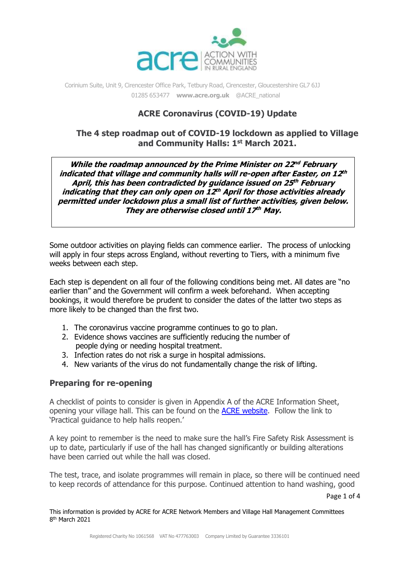

# **ACRE Coronavirus (COVID-19) Update**

## **The 4 step roadmap out of COVID-19 lockdown as applied to Village and Community Halls: 1 st March 2021.**

**While the roadmap announced by the Prime Minister on 22 nd February indicated that village and community halls will re-open after Easter, on 12 th April, this has been contradicted by guidance issued on 25 th February indicating that they can only open on 12 th April for those activities already permitted under lockdown plus <sup>a</sup> small list of further activities, given below. They are otherwise closed until 17 th May.**

Some outdoor activities on playing fields can commence earlier. The process of unlocking will apply in four steps across England, without reverting to Tiers, with a minimum five weeks between each step.

Each step is dependent on all four of the following conditions being met. All dates are "no earlier than" and the Government will confirm a week beforehand. When accepting bookings, it would therefore be prudent to consider the dates of the latter two steps as more likely to be changed than the first two.

- 1. The coronavirus vaccine programme continues to go to plan.
- 2. Evidence shows vaccines are sufficiently reducing the number of people dying or needing hospital treatment.
- 3. Infection rates do not risk a surge in hospital admissions.
- 4. New variants of the virus do not fundamentally change the risk of lifting.

### **Preparing for re-opening**

A checklist of points to consider is given in Appendix A of the ACRE Information Sheet, opening your village hall. This can be found on the [ACRE website.](https://acre.org.uk/rural-issues/providing-advice-and-guidance-to-help-groups.php) Follow the link to 'Practical guidance to help halls reopen.'

A key point to remember is the need to make sure the hall's Fire Safety Risk Assessment is up to date, particularly if use of the hall has changed significantly or building alterations have been carried out while the hall was closed.

The test, trace, and isolate programmes will remain in place, so there will be continued need to keep records of attendance for this purpose. Continued attention to hand washing, good

Page 1 of 4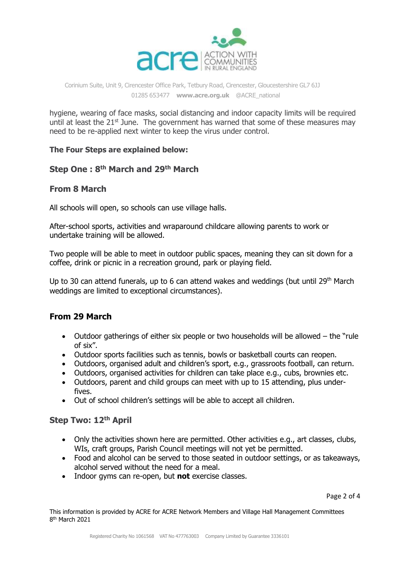

hygiene, wearing of face masks, social distancing and indoor capacity limits will be required until at least the  $21<sup>st</sup>$  June. The government has warned that some of these measures may need to be re-applied next winter to keep the virus under control.

#### **The Four Steps are explained below:**

### **Step One : 8 th March and 29th March**

## **From 8 March**

All schools will open, so schools can use village halls.

After-school sports, activities and wraparound childcare allowing parents to work or undertake training will be allowed.

Two people will be able to meet in outdoor public spaces, meaning they can sit down for a coffee, drink or picnic in a recreation ground, park or playing field.

Up to 30 can attend funerals, up to 6 can attend wakes and weddings (but until 29<sup>th</sup> March weddings are limited to exceptional circumstances).

# **From 29 March**

- Outdoor gatherings of either six people or two households will be allowed the "rule" of six".
- Outdoor sports facilities such as tennis, bowls or basketball courts can reopen.
- Outdoors, organised adult and children's sport, e.g., grassroots football, can return.
- Outdoors, organised activities for children can take place e.g., cubs, brownies etc.
- Outdoors, parent and child groups can meet with up to 15 attending, plus underfives.
- Out of school children's settings will be able to accept all children.

### **Step Two: 12th April**

- Only the activities shown here are permitted. Other activities e.g., art classes, clubs, WIs, craft groups, Parish Council meetings will not yet be permitted.
- Food and alcohol can be served to those seated in outdoor settings, or as takeaways, alcohol served without the need for a meal.
- Indoor gyms can re-open, but **not** exercise classes.

Page 2 of 4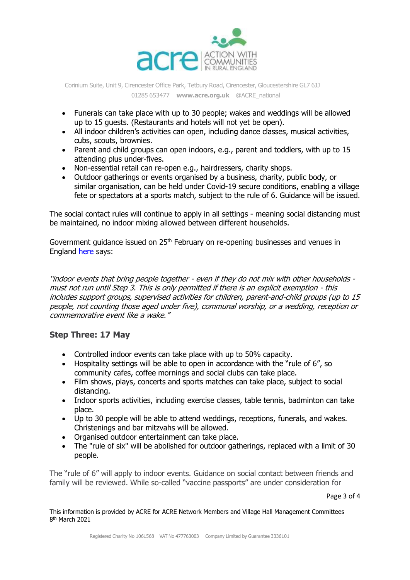

- Funerals can take place with up to 30 people; wakes and weddings will be allowed up to 15 guests. (Restaurants and hotels will not yet be open).
- All indoor children's activities can open, including dance classes, musical activities, cubs, scouts, brownies.
- Parent and child groups can open indoors, e.g., parent and toddlers, with up to 15 attending plus under-fives.
- Non-essential retail can re-open e.g., hairdressers, charity shops.
- Outdoor gatherings or events organised by a business, charity, public body, or similar organisation, can be held under Covid-19 secure conditions, enabling a village fete or spectators at a sports match, subject to the rule of 6. Guidance will be issued.

The social contact rules will continue to apply in all settings - meaning social distancing must be maintained, no indoor mixing allowed between different households.

Government guidance issued on 25<sup>th</sup> February on re-opening businesses and venues in England [here](https://www.gov.uk/government/publications/reopening-businesses-and-venues-in-england) says:

"indoor events that bring people together - even if they do not mix with other households must not run until Step 3. This is only permitted if there is an explicit exemption - this includes support groups, supervised activities for children, parent-and-child groups (up to 15 people, not counting those aged under five), communal worship, or a wedding, reception or commemorative event like a wake."

# **Step Three: 17 May**

- Controlled indoor events can take place with up to 50% capacity.
- Hospitality settings will be able to open in accordance with the "rule of 6", so community cafes, coffee mornings and social clubs can take place.
- Film shows, plays, concerts and sports matches can take place, subject to social distancing.
- Indoor sports activities, including exercise classes, table tennis, badminton can take place.
- Up to 30 people will be able to attend weddings, receptions, funerals, and wakes. Christenings and bar mitzvahs will be allowed.
- Organised outdoor entertainment can take place.
- The "rule of six" will be abolished for outdoor gatherings, replaced with a limit of 30 people.

The "rule of 6" will apply to indoor events. Guidance on social contact between friends and family will be reviewed. While so-called "vaccine passports" are under consideration for

Page 3 of 4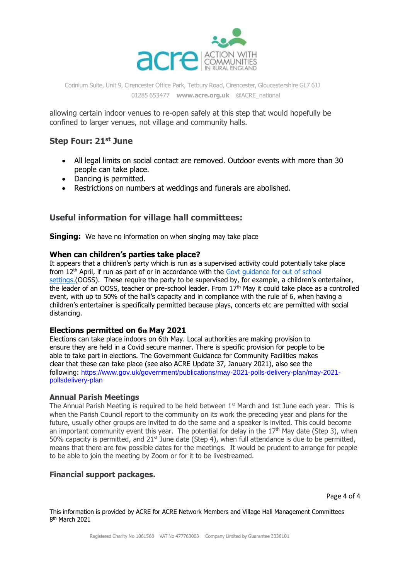

allowing certain indoor venues to re-open safely at this step that would hopefully be confined to larger venues, not village and community halls.

## **Step Four: 21st June**

- All legal limits on social contact are removed. Outdoor events with more than 30 people can take place.
- Dancing is permitted.
- Restrictions on numbers at weddings and funerals are abolished.

#### **Useful information for village hall committees:**

**Singing:** We have no information on when singing may take place

#### **When can children's parties take place?**

It appears that a children's party which is run as a supervised activity could potentially take place from 12<sup>th</sup> April, if run as part of or in accordance with the Govt guidance for out of school [settings.](https://www.gov.uk/government/publications/protective-measures-for-holiday-or-after-school-clubs-and-other-out-of-school-settings-for-children-during-the-coronavirus-covid-19-outbreak/protective-measures-for-out-of-school-settings-during-the-coronavirus-covid-19-outbreak)(OOSS). These require the party to be supervised by, for example, a children's entertainer, the leader of an OOSS, teacher or pre-school leader. From 17th May it could take place as a controlled event, with up to 50% of the hall's capacity and in compliance with the rule of 6, when having a children's entertainer is specifically permitted because plays, concerts etc are permitted with social distancing.

#### **Elections permitted on 6th May 2021**

Elections can take place indoors on 6th May. Local authorities are making provision to ensure they are held in a Covid secure manner. There is specific provision for people to be able to take part in elections. The Government Guidance for Community Facilities makes clear that these can take place (see also ACRE Update 37, January 2021), also see the following: https://www.gov.uk/government/publications/may-2021-polls-delivery-plan/may-2021 pollsdelivery-plan

#### **Annual Parish Meetings**

The Annual Parish Meeting is required to be held between  $1<sup>st</sup>$  March and 1st June each year. This is when the Parish Council report to the community on its work the preceding year and plans for the future, usually other groups are invited to do the same and a speaker is invited. This could become an important community event this year. The potential for delay in the  $17<sup>th</sup>$  May date (Step 3), when 50% capacity is permitted, and  $21^{st}$  June date (Step 4), when full attendance is due to be permitted, means that there are few possible dates for the meetings. It would be prudent to arrange for people to be able to join the meeting by Zoom or for it to be livestreamed.

#### **Financial support packages.**

Page 4 of 4